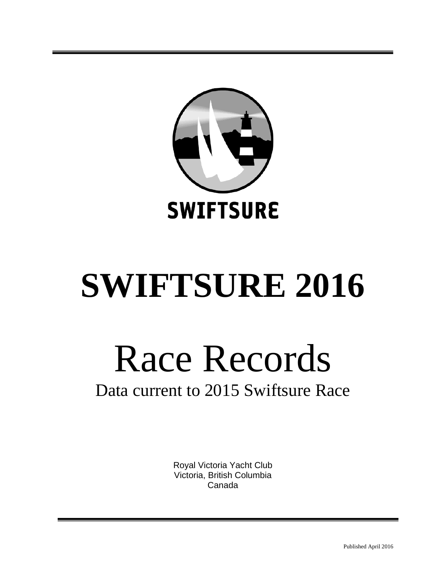

# **SWIFTSURE 2016**

# Race Records

# Data current to 2015 Swiftsure Race

Royal Victoria Yacht Club Victoria, British Columbia Canada

Published April 2016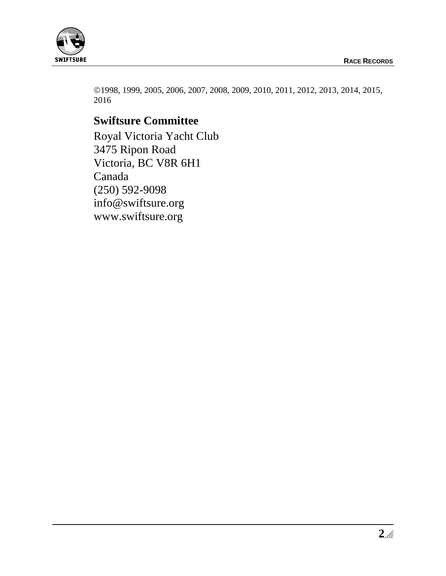

1998, 1999, 2005, 2006, 2007, 2008, 2009, 2010, 2011, 2012, 2013, 2014, 2015, 2016

# **Swiftsure Committee**

Royal Victoria Yacht Club 3475 Ripon Road Victoria, BC V8R 6H1 Canada (250) 592-9098 info@swiftsure.org [www.swiftsure.org](http://www.swiftsure.org/)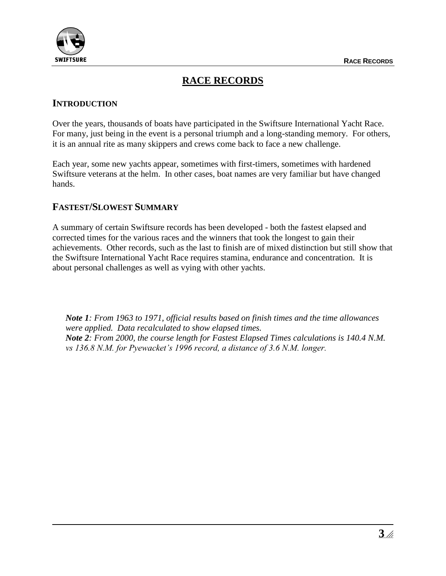

# **RACE RECORDS**

#### **INTRODUCTION**

Over the years, thousands of boats have participated in the Swiftsure International Yacht Race. For many, just being in the event is a personal triumph and a long-standing memory. For others, it is an annual rite as many skippers and crews come back to face a new challenge.

Each year, some new yachts appear, sometimes with first-timers, sometimes with hardened Swiftsure veterans at the helm. In other cases, boat names are very familiar but have changed hands.

#### **FASTEST/SLOWEST SUMMARY**

A summary of certain Swiftsure records has been developed - both the fastest elapsed and corrected times for the various races and the winners that took the longest to gain their achievements. Other records, such as the last to finish are of mixed distinction but still show that the Swiftsure International Yacht Race requires stamina, endurance and concentration. It is about personal challenges as well as vying with other yachts.

*Note 1: From 1963 to 1971, official results based on finish times and the time allowances were applied. Data recalculated to show elapsed times. Note 2: From 2000, the course length for Fastest Elapsed Times calculations is 140.4 N.M. vs 136.8 N.M. for Pyewacket's 1996 record, a distance of 3.6 N.M. longer.*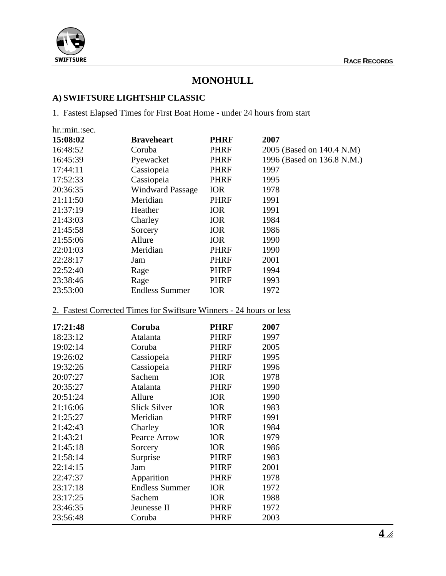

### **MONOHULL**

# **A) SWIFTSURE LIGHTSHIP CLASSIC**

1. Fastest Elapsed Times for First Boat Home - under 24 hours from start

| hr.:min.:sec. |                         |             |                            |
|---------------|-------------------------|-------------|----------------------------|
| 15:08:02      | <b>Braveheart</b>       | <b>PHRF</b> | 2007                       |
| 16:48:52      | Coruba                  | <b>PHRF</b> | 2005 (Based on 140.4 N.M)  |
| 16:45:39      | Pyewacket               | <b>PHRF</b> | 1996 (Based on 136.8 N.M.) |
| 17:44:11      | Cassiopeia              | <b>PHRF</b> | 1997                       |
| 17:52:33      | Cassiopeia              | PHRF        | 1995                       |
| 20:36:35      | <b>Windward Passage</b> | <b>IOR</b>  | 1978                       |
| 21:11:50      | Meridian                | <b>PHRF</b> | 1991                       |
| 21:37:19      | Heather                 | <b>IOR</b>  | 1991                       |
| 21:43:03      | Charley                 | <b>IOR</b>  | 1984                       |
| 21:45:58      | Sorcery                 | <b>IOR</b>  | 1986                       |
| 21:55:06      | Allure                  | <b>IOR</b>  | 1990                       |
| 22:01:03      | Meridian                | <b>PHRF</b> | 1990                       |
| 22:28:17      | Jam                     | <b>PHRF</b> | 2001                       |
| 22:52:40      | Rage                    | <b>PHRF</b> | 1994                       |
| 23:38:46      | Rage                    | PHRF        | 1993                       |
| 23:53:00      | <b>Endless Summer</b>   | <b>IOR</b>  | 1972                       |

#### 2. Fastest Corrected Times for Swiftsure Winners - 24 hours or less

| 17:21:48 | Coruba                | <b>PHRF</b> | 2007 |
|----------|-----------------------|-------------|------|
| 18:23:12 | Atalanta              | <b>PHRF</b> | 1997 |
| 19:02:14 | Coruba                | <b>PHRF</b> | 2005 |
| 19:26:02 | Cassiopeia            | <b>PHRF</b> | 1995 |
| 19:32:26 | Cassiopeia            | <b>PHRF</b> | 1996 |
| 20:07:27 | Sachem                | <b>IOR</b>  | 1978 |
| 20:35:27 | Atalanta              | <b>PHRF</b> | 1990 |
| 20:51:24 | Allure                | <b>IOR</b>  | 1990 |
| 21:16:06 | <b>Slick Silver</b>   | <b>IOR</b>  | 1983 |
| 21:25:27 | Meridian              | <b>PHRF</b> | 1991 |
| 21:42:43 | Charley               | <b>IOR</b>  | 1984 |
| 21:43:21 | Pearce Arrow          | <b>IOR</b>  | 1979 |
| 21:45:18 | Sorcery               | <b>IOR</b>  | 1986 |
| 21:58:14 | Surprise              | <b>PHRF</b> | 1983 |
| 22:14:15 | Jam                   | <b>PHRF</b> | 2001 |
| 22:47:37 | Apparition            | <b>PHRF</b> | 1978 |
| 23:17:18 | <b>Endless Summer</b> | <b>IOR</b>  | 1972 |
| 23:17:25 | Sachem                | <b>IOR</b>  | 1988 |
| 23:46:35 | Jeunesse II           | <b>PHRF</b> | 1972 |
| 23:56:48 | Coruba                | PHRF        | 2003 |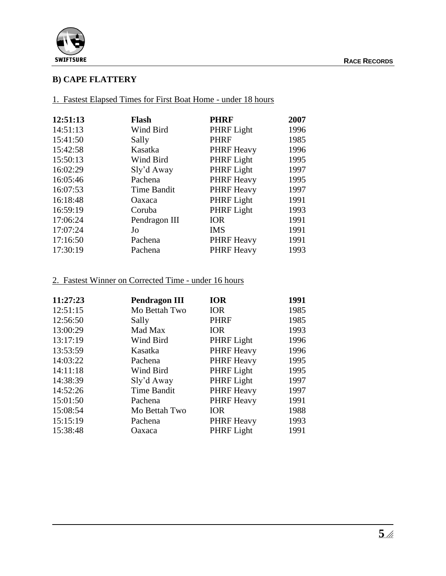



#### **B) CAPE FLATTERY**

1. Fastest Elapsed Times for First Boat Home - under 18 hours

| 12:51:13 | <b>Flash</b>       | <b>PHRF</b>       | 2007 |
|----------|--------------------|-------------------|------|
| 14:51:13 | Wind Bird          | PHRF Light        | 1996 |
| 15:41:50 | Sally              | <b>PHRF</b>       | 1985 |
| 15:42:58 | Kasatka            | <b>PHRF Heavy</b> | 1996 |
| 15:50:13 | Wind Bird          | PHRF Light        | 1995 |
| 16:02:29 | Sly'd Away         | PHRF Light        | 1997 |
| 16:05:46 | Pachena            | <b>PHRF Heavy</b> | 1995 |
| 16:07:53 | <b>Time Bandit</b> | <b>PHRF Heavy</b> | 1997 |
| 16:18:48 | Oaxaca             | PHRF Light        | 1991 |
| 16:59:19 | Coruba             | PHRF Light        | 1993 |
| 17:06:24 | Pendragon III      | <b>IOR</b>        | 1991 |
| 17:07:24 | Jo                 | <b>IMS</b>        | 1991 |
| 17:16:50 | Pachena            | <b>PHRF Heavy</b> | 1991 |
| 17:30:19 | Pachena            | <b>PHRF Heavy</b> | 1993 |

#### 2. Fastest Winner on Corrected Time - under 16 hours

| 11:27:23 | <b>Pendragon III</b> | <b>IOR</b>        | 1991 |
|----------|----------------------|-------------------|------|
| 12:51:15 | Mo Bettah Two        | <b>IOR</b>        | 1985 |
| 12:56:50 | Sally                | <b>PHRF</b>       | 1985 |
| 13:00:29 | Mad Max              | <b>IOR</b>        | 1993 |
| 13:17:19 | Wind Bird            | PHRF Light        | 1996 |
| 13:53:59 | Kasatka              | <b>PHRF Heavy</b> | 1996 |
| 14:03:22 | Pachena              | <b>PHRF Heavy</b> | 1995 |
| 14:11:18 | Wind Bird            | PHRF Light        | 1995 |
| 14:38:39 | Sly'd Away           | PHRF Light        | 1997 |
| 14:52:26 | <b>Time Bandit</b>   | <b>PHRF</b> Heavy | 1997 |
| 15:01:50 | Pachena              | <b>PHRF Heavy</b> | 1991 |
| 15:08:54 | Mo Bettah Two        | <b>IOR</b>        | 1988 |
| 15:15:19 | Pachena              | <b>PHRF</b> Heavy | 1993 |
| 15:38:48 | Oaxaca               | PHRF Light        | 1991 |
|          |                      |                   |      |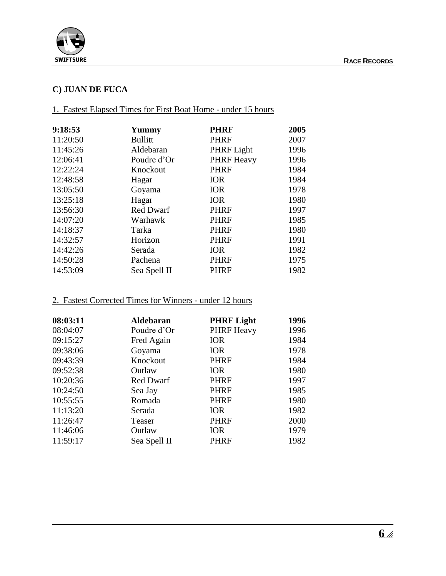

#### **C) JUAN DE FUCA**

#### 1. Fastest Elapsed Times for First Boat Home - under 15 hours

| 9:18:53  | Yummy          | <b>PHRF</b>       | 2005 |
|----------|----------------|-------------------|------|
| 11:20:50 | <b>Bullitt</b> | <b>PHRF</b>       | 2007 |
| 11:45:26 | Aldebaran      | PHRF Light        | 1996 |
| 12:06:41 | Poudre d'Or    | <b>PHRF Heavy</b> | 1996 |
| 12:22:24 | Knockout       | <b>PHRF</b>       | 1984 |
| 12:48:58 | Hagar          | <b>IOR</b>        | 1984 |
| 13:05:50 | Goyama         | <b>IOR</b>        | 1978 |
| 13:25:18 | Hagar          | <b>IOR</b>        | 1980 |
| 13:56:30 | Red Dwarf      | <b>PHRF</b>       | 1997 |
| 14:07:20 | Warhawk        | <b>PHRF</b>       | 1985 |
| 14:18:37 | Tarka          | <b>PHRF</b>       | 1980 |
| 14:32:57 | Horizon        | <b>PHRF</b>       | 1991 |
| 14:42:26 | Serada         | <b>IOR</b>        | 1982 |
| 14:50:28 | Pachena        | <b>PHRF</b>       | 1975 |
| 14:53:09 | Sea Spell II   | PHRF              | 1982 |

#### 2. Fastest Corrected Times for Winners - under 12 hours

| 08:03:11 | <b>Aldebaran</b> | <b>PHRF Light</b> | 1996 |
|----------|------------------|-------------------|------|
| 08:04:07 | Poudre d'Or      | <b>PHRF Heavy</b> | 1996 |
| 09:15:27 | Fred Again       | <b>IOR</b>        | 1984 |
| 09:38:06 | Goyama           | <b>IOR</b>        | 1978 |
| 09:43:39 | Knockout         | <b>PHRF</b>       | 1984 |
| 09:52:38 | Outlaw           | <b>IOR</b>        | 1980 |
| 10:20:36 | Red Dwarf        | <b>PHRF</b>       | 1997 |
| 10:24:50 | Sea Jay          | <b>PHRF</b>       | 1985 |
| 10:55:55 | Romada           | <b>PHRF</b>       | 1980 |
| 11:13:20 | Serada           | <b>IOR</b>        | 1982 |
| 11:26:47 | Teaser           | <b>PHRF</b>       | 2000 |
| 11:46:06 | Outlaw           | <b>IOR</b>        | 1979 |
| 11:59:17 | Sea Spell II     | <b>PHRF</b>       | 1982 |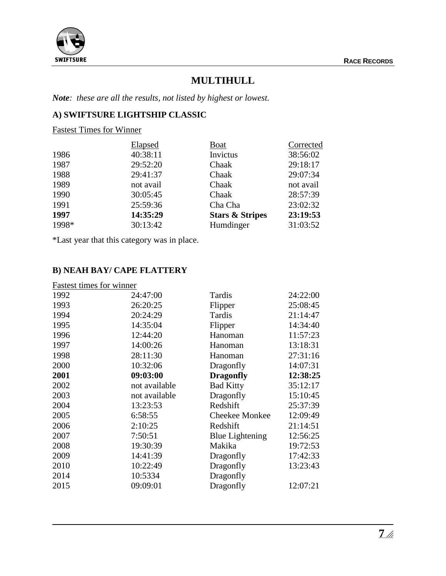

# **MULTIHULL**

*Note: these are all the results, not listed by highest or lowest.*

### **A) SWIFTSURE LIGHTSHIP CLASSIC**

Fastest Times for Winner

|       | Elapsed   | <b>Boat</b>                | Corrected |
|-------|-----------|----------------------------|-----------|
| 1986  | 40:38:11  | Invictus                   | 38:56:02  |
| 1987  | 29:52:20  | Chaak                      | 29:18:17  |
| 1988  | 29:41:37  | Chaak                      | 29:07:34  |
| 1989  | not avail | Chaak                      | not avail |
| 1990  | 30:05:45  | Chaak                      | 28:57:39  |
| 1991  | 25:59:36  | Cha Cha                    | 23:02:32  |
| 1997  | 14:35:29  | <b>Stars &amp; Stripes</b> | 23:19:53  |
| 1998* | 30:13:42  | Humdinger                  | 31:03:52  |
|       |           |                            |           |

\*Last year that this category was in place.

#### **B) NEAH BAY/ CAPE FLATTERY**

| Fastest times for winner |               |                        |          |
|--------------------------|---------------|------------------------|----------|
| 1992                     | 24:47:00      | Tardis                 | 24:22:00 |
| 1993                     | 26:20:25      | Flipper                | 25:08:45 |
| 1994                     | 20:24:29      | Tardis                 | 21:14:47 |
| 1995                     | 14:35:04      | Flipper                | 14:34:40 |
| 1996                     | 12:44:20      | Hanoman                | 11:57:23 |
| 1997                     | 14:00:26      | Hanoman                | 13:18:31 |
| 1998                     | 28:11:30      | Hanoman                | 27:31:16 |
| 2000                     | 10:32:06      | Dragonfly              | 14:07:31 |
| 2001                     | 09:03:00      | <b>Dragonfly</b>       | 12:38:25 |
| 2002                     | not available | <b>Bad Kitty</b>       | 35:12:17 |
| 2003                     | not available | Dragonfly              | 15:10:45 |
| 2004                     | 13:23:53      | Redshift               | 25:37:39 |
| 2005                     | 6:58:55       | <b>Cheekee Monkee</b>  | 12:09:49 |
| 2006                     | 2:10:25       | Redshift               | 21:14:51 |
| 2007                     | 7:50:51       | <b>Blue Lightening</b> | 12:56:25 |
| 2008                     | 19:30:39      | Makika                 | 19:72:53 |
| 2009                     | 14:41:39      | Dragonfly              | 17:42:33 |
| 2010                     | 10:22:49      | Dragonfly              | 13:23:43 |
| 2014                     | 10:5334       | Dragonfly              |          |
| 2015                     | 09:09:01      | Dragonfly              | 12:07:21 |
|                          |               |                        |          |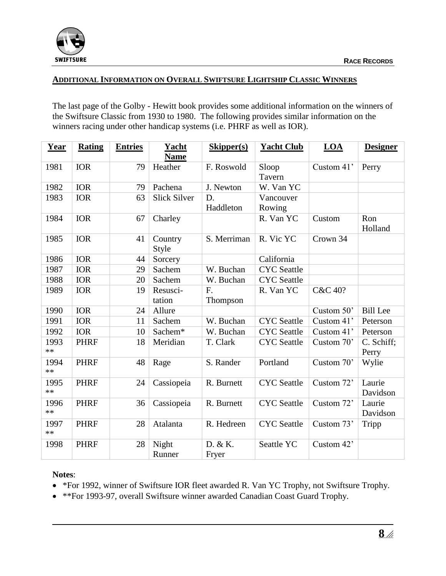

#### **ADDITIONAL INFORMATION ON OVERALL SWIFTSURE LIGHTSHIP CLASSIC WINNERS**

The last page of the Golby - Hewitt book provides some additional information on the winners of the Swiftsure Classic from 1930 to 1980. The following provides similar information on the winners racing under other handicap systems (i.e. PHRF as well as IOR).

| Year         | <b>Rating</b> | <b>Entries</b> | Yacht<br><b>Name</b> | Skipper(s)       | <b>Yacht Club</b>   | LOA        | <b>Designer</b>     |
|--------------|---------------|----------------|----------------------|------------------|---------------------|------------|---------------------|
| 1981         | <b>IOR</b>    | 79             | Heather              | F. Roswold       | Sloop<br>Tavern     | Custom 41' | Perry               |
| 1982         | <b>IOR</b>    | 79             | Pachena              | J. Newton        | W. Van YC           |            |                     |
| 1983         | <b>IOR</b>    | 63             | <b>Slick Silver</b>  | D.<br>Haddleton  | Vancouver<br>Rowing |            |                     |
| 1984         | <b>IOR</b>    | 67             | Charley              |                  | R. Van YC           | Custom     | Ron<br>Holland      |
| 1985         | <b>IOR</b>    | 41             | Country<br>Style     | S. Merriman      | R. Vic YC           | Crown 34   |                     |
| 1986         | <b>IOR</b>    | 44             | Sorcery              |                  | California          |            |                     |
| 1987         | <b>IOR</b>    | 29             | Sachem               | W. Buchan        | <b>CYC</b> Seattle  |            |                     |
| 1988         | <b>IOR</b>    | 20             | Sachem               | W. Buchan        | <b>CYC</b> Seattle  |            |                     |
| 1989         | <b>IOR</b>    | 19             | Resusci-<br>tation   | F.<br>Thompson   | R. Van YC           | C&C 40?    |                     |
| 1990         | <b>IOR</b>    | 24             | Allure               |                  |                     | Custom 50' | <b>Bill Lee</b>     |
| 1991         | <b>IOR</b>    | 11             | Sachem               | W. Buchan        | <b>CYC</b> Seattle  | Custom 41' | Peterson            |
| 1992         | <b>IOR</b>    | 10             | Sachem*              | W. Buchan        | <b>CYC</b> Seattle  | Custom 41' | Peterson            |
| 1993<br>$**$ | <b>PHRF</b>   | 18             | Meridian             | T. Clark         | <b>CYC</b> Seattle  | Custom 70' | C. Schiff;<br>Perry |
| 1994<br>$**$ | <b>PHRF</b>   | 48             | Rage                 | S. Rander        | Portland            | Custom 70' | Wylie               |
| 1995<br>$**$ | <b>PHRF</b>   | 24             | Cassiopeia           | R. Burnett       | <b>CYC</b> Seattle  | Custom 72' | Laurie<br>Davidson  |
| 1996<br>$**$ | <b>PHRF</b>   | 36             | Cassiopeia           | R. Burnett       | <b>CYC</b> Seattle  | Custom 72' | Laurie<br>Davidson  |
| 1997<br>$**$ | <b>PHRF</b>   | 28             | Atalanta             | R. Hedreen       | <b>CYC</b> Seattle  | Custom 73' | Tripp               |
| 1998         | <b>PHRF</b>   | 28             | Night<br>Runner      | D. & K.<br>Fryer | Seattle YC          | Custom 42' |                     |

#### **Notes**:

- \*For 1992, winner of Swiftsure IOR fleet awarded R. Van YC Trophy, not Swiftsure Trophy.
- \*\*For 1993-97, overall Swiftsure winner awarded Canadian Coast Guard Trophy.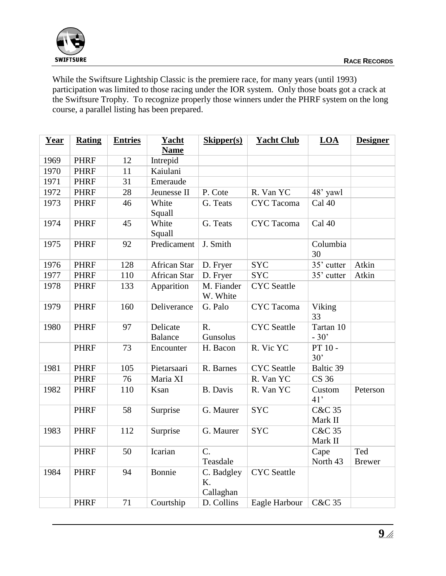

While the Swiftsure Lightship Classic is the premiere race, for many years (until 1993) participation was limited to those racing under the IOR system. Only those boats got a crack at the Swiftsure Trophy. To recognize properly those winners under the PHRF system on the long course, a parallel listing has been prepared.

| Year | <b>Rating</b> | <b>Entries</b> | Yacht<br><b>Name</b>       | <b>Skipper(s)</b>             | <b>Yacht Club</b>  | LOA                          | <b>Designer</b>      |
|------|---------------|----------------|----------------------------|-------------------------------|--------------------|------------------------------|----------------------|
| 1969 | <b>PHRF</b>   | 12             | Intrepid                   |                               |                    |                              |                      |
| 1970 | <b>PHRF</b>   | 11             | Kaiulani                   |                               |                    |                              |                      |
| 1971 | <b>PHRF</b>   | 31             | Emeraude                   |                               |                    |                              |                      |
| 1972 | <b>PHRF</b>   | 28             | Jeunesse II                | P. Cote                       | R. Van YC          | 48' yawl                     |                      |
| 1973 | <b>PHRF</b>   | 46             | White<br>Squall            | G. Teats                      | <b>CYC</b> Tacoma  | Cal 40                       |                      |
| 1974 | <b>PHRF</b>   | 45             | White<br>Squall            | G. Teats                      | <b>CYC</b> Tacoma  | Cal 40                       |                      |
| 1975 | <b>PHRF</b>   | 92             | Predicament                | J. Smith                      |                    | Columbia<br>30               |                      |
| 1976 | <b>PHRF</b>   | 128            | <b>African Star</b>        | D. Fryer                      | <b>SYC</b>         | 35' cutter                   | Atkin                |
| 1977 | <b>PHRF</b>   | 110            | <b>African Star</b>        | D. Fryer                      | <b>SYC</b>         | 35' cutter                   | Atkin                |
| 1978 | <b>PHRF</b>   | 133            | Apparition                 | M. Fiander<br>W. White        | <b>CYC</b> Seattle |                              |                      |
| 1979 | <b>PHRF</b>   | 160            | Deliverance                | G. Palo                       | <b>CYC</b> Tacoma  | Viking<br>33                 |                      |
| 1980 | <b>PHRF</b>   | 97             | Delicate<br><b>Balance</b> | $R_{\cdot}$<br>Gunsolus       | <b>CYC</b> Seattle | Tartan 10<br>$-30'$          |                      |
|      | <b>PHRF</b>   | 73             | Encounter                  | H. Bacon                      | R. Vic YC          | PT 10 -<br>30'               |                      |
| 1981 | <b>PHRF</b>   | 105            | Pietarsaari                | R. Barnes                     | <b>CYC</b> Seattle | Baltic 39                    |                      |
|      | <b>PHRF</b>   | 76             | Maria XI                   |                               | R. Van YC          | <b>CS 36</b>                 |                      |
| 1982 | <b>PHRF</b>   | 110            | Ksan                       | <b>B.</b> Davis               | R. Van YC          | Custom<br>41'                | Peterson             |
|      | <b>PHRF</b>   | 58             | Surprise                   | G. Maurer                     | <b>SYC</b>         | <b>C&amp;C 35</b><br>Mark II |                      |
| 1983 | <b>PHRF</b>   | 112            | Surprise                   | G. Maurer                     | <b>SYC</b>         | <b>C&amp;C 35</b><br>Mark II |                      |
|      | <b>PHRF</b>   | 50             | Icarian                    | $C$ .<br>Teasdale             |                    | Cape<br>North 43             | Ted<br><b>Brewer</b> |
| 1984 | <b>PHRF</b>   | 94             | Bonnie                     | C. Badgley<br>K.<br>Callaghan | <b>CYC</b> Seattle |                              |                      |
|      | <b>PHRF</b>   | 71             | Courtship                  | D. Collins                    | Eagle Harbour      | <b>C&amp;C 35</b>            |                      |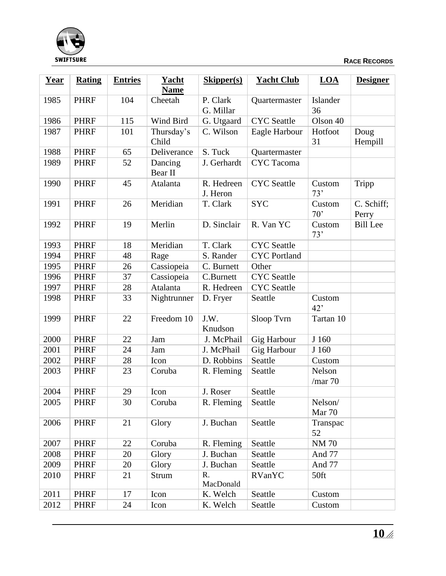

| Year | <b>Rating</b> | <b>Entries</b> | Yacht<br><b>Name</b> | <b>Skipper(s)</b>      | <b>Yacht Club</b>   | LOA                  | <b>Designer</b>     |
|------|---------------|----------------|----------------------|------------------------|---------------------|----------------------|---------------------|
| 1985 | <b>PHRF</b>   | 104            | Cheetah              | P. Clark<br>G. Millar  | Quartermaster       | Islander<br>36       |                     |
| 1986 | <b>PHRF</b>   | 115            | Wind Bird            | G. Utgaard             | <b>CYC</b> Seattle  | Olson 40             |                     |
| 1987 | <b>PHRF</b>   | 101            | Thursday's<br>Child  | C. Wilson              | Eagle Harbour       | Hotfoot<br>31        | Doug<br>Hempill     |
| 1988 | <b>PHRF</b>   | 65             | Deliverance          | S. Tuck                | Quartermaster       |                      |                     |
| 1989 | <b>PHRF</b>   | 52             | Dancing<br>Bear II   | J. Gerhardt            | <b>CYC</b> Tacoma   |                      |                     |
| 1990 | <b>PHRF</b>   | 45             | Atalanta             | R. Hedreen<br>J. Heron | <b>CYC</b> Seattle  | Custom<br>73'        | Tripp               |
| 1991 | <b>PHRF</b>   | 26             | Meridian             | T. Clark               | <b>SYC</b>          | Custom<br>70'        | C. Schiff;<br>Perry |
| 1992 | <b>PHRF</b>   | 19             | Merlin               | D. Sinclair            | R. Van YC           | Custom<br>73'        | <b>Bill Lee</b>     |
| 1993 | <b>PHRF</b>   | 18             | Meridian             | T. Clark               | <b>CYC</b> Seattle  |                      |                     |
| 1994 | <b>PHRF</b>   | 48             | Rage                 | S. Rander              | <b>CYC</b> Portland |                      |                     |
| 1995 | <b>PHRF</b>   | 26             | Cassiopeia           | C. Burnett             | Other               |                      |                     |
| 1996 | <b>PHRF</b>   | 37             | Cassiopeia           | C.Burnett              | <b>CYC</b> Seattle  |                      |                     |
| 1997 | <b>PHRF</b>   | 28             | Atalanta             | R. Hedreen             | <b>CYC</b> Seattle  |                      |                     |
| 1998 | <b>PHRF</b>   | 33             | Nightrunner          | D. Fryer               | Seattle             | Custom<br>42'        |                     |
| 1999 | <b>PHRF</b>   | 22             | Freedom 10           | J.W.<br>Knudson        | Sloop Tvrn          | Tartan 10            |                     |
| 2000 | <b>PHRF</b>   | 22             | Jam                  | J. McPhail             | Gig Harbour         | J 160                |                     |
| 2001 | <b>PHRF</b>   | 24             | Jam                  | J. McPhail             | <b>Gig Harbour</b>  | J 160                |                     |
| 2002 | <b>PHRF</b>   | 28             | Icon                 | D. Robbins             | Seattle             | Custom               |                     |
| 2003 | <b>PHRF</b>   | 23             | Coruba               | R. Fleming             | Seattle             | Nelson<br>$/$ mar 70 |                     |
| 2004 | <b>PHRF</b>   | 29             | Icon                 | J. Roser               | Seattle             |                      |                     |
| 2005 | <b>PHRF</b>   | 30             | Coruba               | R. Fleming             | Seattle             | Nelson/<br>Mar 70    |                     |
| 2006 | <b>PHRF</b>   | 21             | Glory                | J. Buchan              | Seattle             | Transpac<br>52       |                     |
| 2007 | <b>PHRF</b>   | 22             | Coruba               | R. Fleming             | Seattle             | <b>NM70</b>          |                     |
| 2008 | <b>PHRF</b>   | 20             | Glory                | J. Buchan              | Seattle             | And 77               |                     |
| 2009 | <b>PHRF</b>   | 20             | Glory                | J. Buchan              | Seattle             | And 77               |                     |
| 2010 | <b>PHRF</b>   | 21             | Strum                | R.<br>MacDonald        | <b>RVanYC</b>       | 50ft                 |                     |
| 2011 | <b>PHRF</b>   | 17             | Icon                 | K. Welch               | Seattle             | Custom               |                     |
| 2012 | <b>PHRF</b>   | 24             | Icon                 | K. Welch               | Seattle             | Custom               |                     |